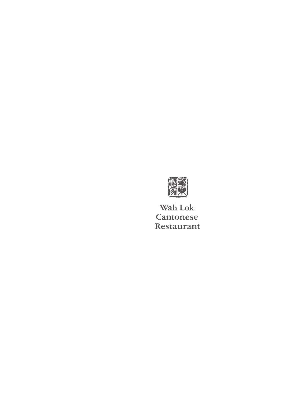

Wah Lok Cantonese Restaurant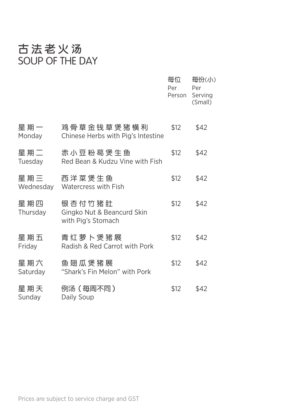# 古法老火汤<br>SOUP OF THE DAY

|                  |                                                            | 每位<br>Per<br>Person | 每份(小)<br>Per<br>Serving<br>(Small) |
|------------------|------------------------------------------------------------|---------------------|------------------------------------|
| 星期一<br>Monday    | 鸡 骨 草 金 钱 草 煲 猪 横 利<br>Chinese Herbs with Pig's Intestine  | \$12                | \$42                               |
| 星期二<br>Tuesday   | 赤小豆粉葛煲生鱼<br>Red Bean & Kudzu Vine with Fish                | \$12                | \$42                               |
| 星期三<br>Wednesday | 西洋菜煲生鱼<br>Watercress with Fish                             | \$12                | \$42                               |
| 星期四<br>Thursday  | 银杏付竹猪肚<br>Gingko Nut & Beancurd Skin<br>with Pig's Stomach | \$12                | \$42                               |
| 星期五<br>Friday    | 青红萝卜煲猪展<br>Radish & Red Carrot with Pork                   | \$12                | \$42                               |
| 星期六<br>Saturday  | 鱼翅瓜煲猪展<br>"Shark's Fin Melon" with Pork                    | \$12                | \$42                               |
| 星期天<br>Sunday    | 例汤(每周不同)<br>Daily Soup                                     | \$12                | \$42                               |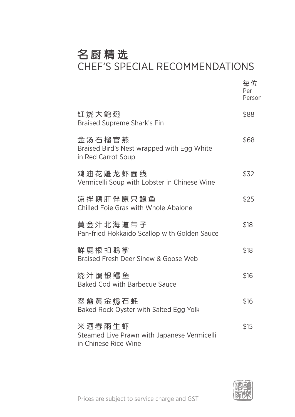# 名厨精选

### CHEF'S SPECIAL RECOMMENDATIONS

|                                                                               | 每位<br>Per<br>Person |
|-------------------------------------------------------------------------------|---------------------|
| 红烧大鲍翅<br><b>Braised Supreme Shark's Fin</b>                                   | \$88                |
| 金汤石榴官燕<br>Braised Bird's Nest wrapped with Egg White<br>in Red Carrot Soup    | \$68                |
| 鸡油花雕龙虾面线<br>Vermicelli Soup with Lobster in Chinese Wine                      | \$32                |
| 凉拌鹅肝伴原只鲍鱼<br>Chilled Foie Gras with Whole Abalone                             | \$25                |
| 黄金汁北海道带子<br>Pan-fried Hokkaido Scallop with Golden Sauce                      | \$18                |
| 鲜鹿根扣鹅掌<br>Braised Fresh Deer Sinew & Goose Web                                | \$18                |
| 烧汁焗银鳕鱼<br><b>Baked Cod with Barbecue Sauce</b>                                | \$16                |
| 翠盏黄金焗石蚝<br>Baked Rock Oyster with Salted Egg Yolk                             | \$16                |
| 米酒春雨生虾<br>Steamed Live Prawn with Japanese Vermicelli<br>in Chinese Rice Wine | \$15                |

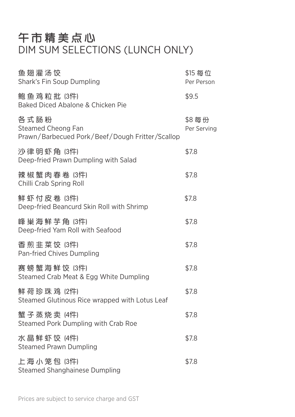# 午市精美点心 DIM SUM SELECTIONS (LUNCH ONLY)

| 鱼翅灌汤饺<br>Shark's Fin Soup Dumpling                                            | \$15 每位<br>Per Person |
|-------------------------------------------------------------------------------|-----------------------|
| 鲍鱼鸡粒批(3件)<br>Baked Diced Abalone & Chicken Pie                                | \$9.5                 |
| 各式肠粉<br>Steamed Cheong Fan<br>Prawn/Barbecued Pork/Beef/Dough Fritter/Scallop | \$8每份<br>Per Serving  |
| 沙律明虾角(3件)<br>Deep-fried Prawn Dumpling with Salad                             | \$7.8                 |
| 辣 椒 蟹 肉 春 卷 (3件)<br>Chilli Crab Spring Roll                                   | \$7.8                 |
| 鲜虾付皮卷 (3件)<br>Deep-fried Beancurd Skin Roll with Shrimp                       | \$7.8                 |
| 峰巢海鲜芋角 (3件)<br>Deep-fried Yam Roll with Seafood                               | \$7.8                 |
| 香煎韭菜饺 (3件)<br>Pan-fried Chives Dumpling                                       | \$7.8                 |
| 赛螃蟹海鲜饺 (3件)<br>Steamed Crab Meat & Egg White Dumpling                         | \$7.8                 |
| 鲜 荷 珍 珠 鸡(2件)<br>Steamed Glutinous Rice wrapped with Lotus Leaf               | \$7.8                 |
| 蟹子蒸烧卖 (4件)<br>Steamed Pork Dumpling with Crab Roe                             | \$7.8                 |
| 水晶鲜虾饺 (4件)<br><b>Steamed Prawn Dumpling</b>                                   | \$7.8                 |
| 上海小笼包 (3件)<br>Steamed Shanghainese Dumpling                                   | \$7.8                 |

Prices are subject to service charge and GST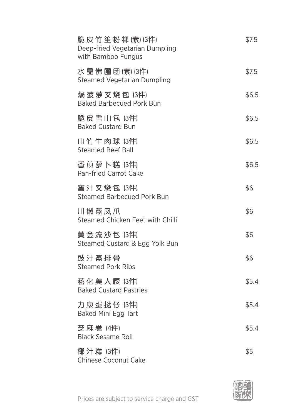| 脆皮 竹笙粉 粿(素) (3件)<br>Deep-fried Vegetarian Dumpling<br>with Bamboo Fungus | \$7.5 |
|--------------------------------------------------------------------------|-------|
| 水晶佛圃团(素) (3件)<br><b>Steamed Vegetarian Dumpling</b>                      | \$7.5 |
| 焗菠萝叉烧包 (3件)<br><b>Baked Barbecued Pork Bun</b>                           | \$6.5 |
| 脆皮雪山包 (3件)<br><b>Baked Custard Bun</b>                                   | \$6.5 |
| 山竹牛肉球 (3件)<br><b>Steamed Beef Ball</b>                                   | \$6.5 |
| 香煎萝卜糕 (3件)<br>Pan-fried Carrot Cake                                      | \$6.5 |
| 蜜汁叉烧包 (3件)<br><b>Steamed Barbecued Pork Bun</b>                          | \$6   |
| 川椒蒸凤爪<br>Steamed Chicken Feet with Chilli                                | \$6   |
| 黄金流沙包 (3件)<br>Steamed Custard & Egg Yolk Bun                             | \$6   |
| 豉汁蒸排骨<br><b>Steamed Pork Ribs</b>                                        | \$6   |
| 菘 化 美 人 腰 (3件)<br><b>Baked Custard Pastries</b>                          | \$5.4 |
| 力康蛋挞仔(3件)<br>Baked Mini Egg Tart                                         | \$5.4 |
| 芝 麻 卷 (4件)<br><b>Black Sesame Roll</b>                                   | \$5.4 |
| 椰汁糕 (3件)<br>Chinese Coconut Cake                                         | \$5   |

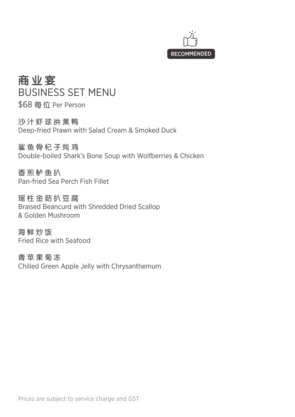

商业宴 BUSINESS SET MENU

\$68 每 位 Per Person

沙汁虾球拚薰鸭 Deep-fried Prawn with Salad Cream & Smoked Duck

鲨鱼骨杞子炖鸡 Double-boiled Shark's Bone Soup with Wolfberries & Chicken

香煎鲈鱼扒 Pan-fried Sea Perch Fish Fillet

瑶柱金菇扒豆腐 Braised Beancurd with Shredded Dried Scallop & Golden Mushroom

海鲜炒饭 Fried Rice with Seafood

青苹果菊冻 Chilled Green Apple Jelly with Chrysanthemum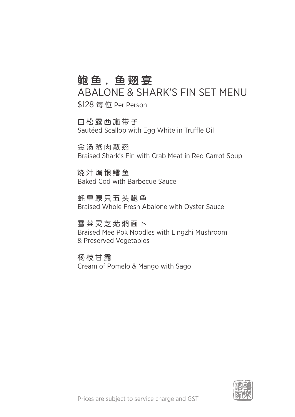## 鲍鱼,鱼翅宴

ABALONE & SHARK'S FIN SET MENU \$128 每 位 Per Person

白松露西施带子 Sautéed Scallop with Egg White in Truffle Oil

余汤蟹肉散翅 Braised Shark's Fin with Crab Meat in Red Carrot Soup

烧汁焗银鳕鱼 Baked Cod with Barbecue Sauce

蚝皇原只五头鲍鱼 Braised Whole Fresh Abalone with Oyster Sauce

雪菜灵芝菇焖面卜 Braised Mee Pok Noodles with Lingzhi Mushroom & Preserved Vegetables

杨枝甘露 Cream of Pomelo & Mango with Sago

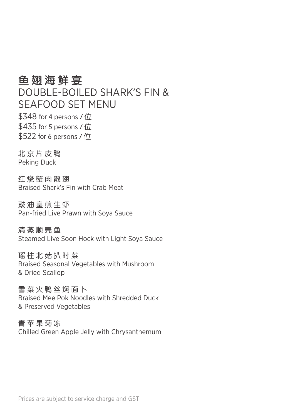#### 鱼翅海鲜宴

DOUBLE-BOILED SHARK'S FIN & SEAFOOD SET MENU

 $$348$  for 4 persons /  $@$  $$435$  for 5 persons /  $@$  $$522$  for 6 persons /  $$$ 

北京片皮鸭 Peking Duck

红烧蟹肉散翅 Braised Shark's Fin with Crab Meat

豉油皇煎生虾 Pan-fried Live Prawn with Soya Sauce

清蒸顺壳鱼 Steamed Live Soon Hock with Light Soya Sauce

瑶柱北菇扒时菜 Braised Seasonal Vegetables with Mushroom & Dried Scallop

雪菜火鸭丝焖面卜 Braised Mee Pok Noodles with Shredded Duck & Preserved Vegetables

青苹果菊冻 Chilled Green Apple Jelly with Chrysanthemum

Prices are subject to service charge and GST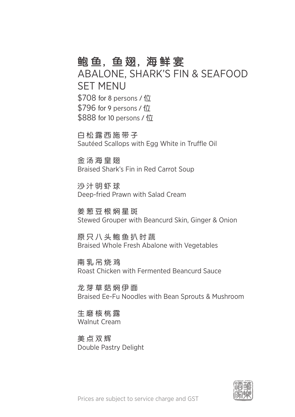#### 鲍鱼,鱼翅,海鲜宴

ABALONE, SHARK'S FIN & SEAFOOD SET MENU  $$708$  for 8 persons /  $$$  $$796$  for 9 persons /  $$$ \$888 for 10 persons / 位

白松露西施带子 Sautéed Scallops with Egg White in Truffle Oil

金汤海皇翅 Braised Shark's Fin in Red Carrot Soup

沙汁明虾球 Deep-fried Prawn with Salad Cream

姜 葱 豆 根 焖 星 斑 Stewed Grouper with Beancurd Skin, Ginger & Onion

原只八头鲍鱼扒时蔬 Braised Whole Fresh Abalone with Vegetables

南乳吊烧鸡 Roast Chicken with Fermented Beancurd Sauce

龙芽草菇焖伊面 Braised Ee-Fu Noodles with Bean Sprouts & Mushroom

生磨核桃露 Walnut Cream

美点双辉 Double Pastry Delight